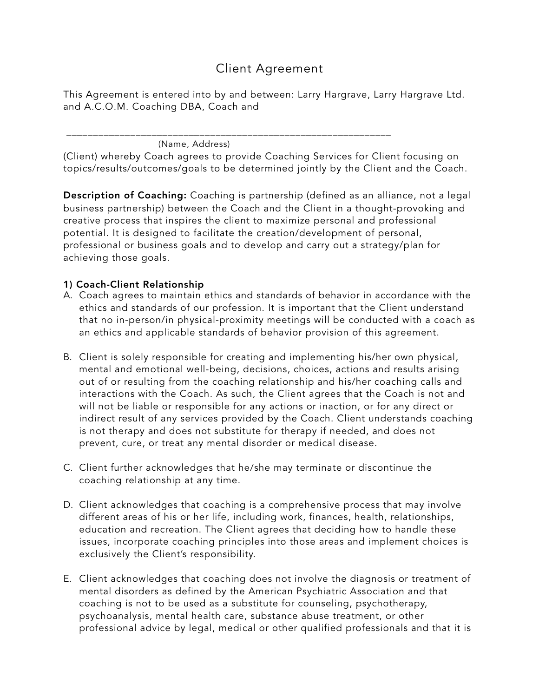# Client Agreement

This Agreement is entered into by and between: Larry Hargrave, Larry Hargrave Ltd. and A.C.O.M. Coaching DBA, Coach and

 \_\_\_\_\_\_\_\_\_\_\_\_\_\_\_\_\_\_\_\_\_\_\_\_\_\_\_\_\_\_\_\_\_\_\_\_\_\_\_\_\_\_\_\_\_\_\_\_\_\_\_\_\_\_\_\_\_\_\_\_\_ (Name, Address)

(Client) whereby Coach agrees to provide Coaching Services for Client focusing on topics/results/outcomes/goals to be determined jointly by the Client and the Coach.

Description of Coaching: Coaching is partnership (defined as an alliance, not a legal business partnership) between the Coach and the Client in a thought-provoking and creative process that inspires the client to maximize personal and professional potential. It is designed to facilitate the creation/development of personal, professional or business goals and to develop and carry out a strategy/plan for achieving those goals.

#### 1) Coach-Client Relationship

- A. Coach agrees to maintain ethics and standards of behavior in accordance with the ethics and standards of our profession. It is important that the Client understand that no in-person/in physical-proximity meetings will be conducted with a coach as an ethics and applicable standards of behavior provision of this agreement.
- B. Client is solely responsible for creating and implementing his/her own physical, mental and emotional well-being, decisions, choices, actions and results arising out of or resulting from the coaching relationship and his/her coaching calls and interactions with the Coach. As such, the Client agrees that the Coach is not and will not be liable or responsible for any actions or inaction, or for any direct or indirect result of any services provided by the Coach. Client understands coaching is not therapy and does not substitute for therapy if needed, and does not prevent, cure, or treat any mental disorder or medical disease.
- C. Client further acknowledges that he/she may terminate or discontinue the coaching relationship at any time.
- D. Client acknowledges that coaching is a comprehensive process that may involve different areas of his or her life, including work, finances, health, relationships, education and recreation. The Client agrees that deciding how to handle these issues, incorporate coaching principles into those areas and implement choices is exclusively the Client's responsibility.
- E. Client acknowledges that coaching does not involve the diagnosis or treatment of mental disorders as defined by the American Psychiatric Association and that coaching is not to be used as a substitute for counseling, psychotherapy, psychoanalysis, mental health care, substance abuse treatment, or other professional advice by legal, medical or other qualified professionals and that it is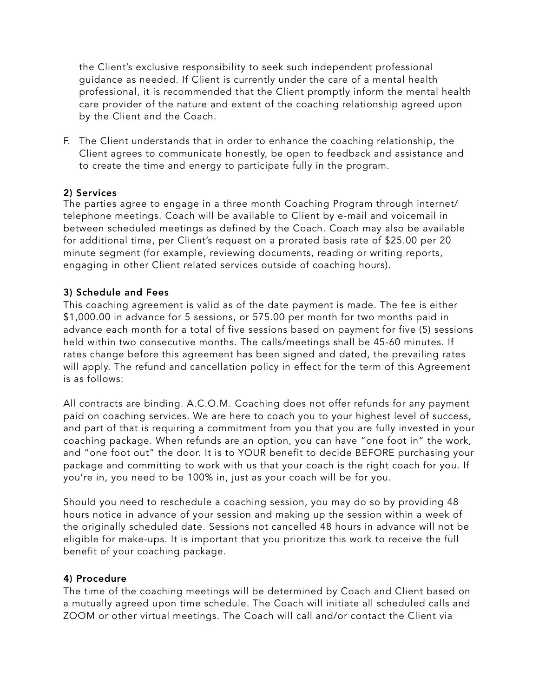the Client's exclusive responsibility to seek such independent professional guidance as needed. If Client is currently under the care of a mental health professional, it is recommended that the Client promptly inform the mental health care provider of the nature and extent of the coaching relationship agreed upon by the Client and the Coach.

F. The Client understands that in order to enhance the coaching relationship, the Client agrees to communicate honestly, be open to feedback and assistance and to create the time and energy to participate fully in the program.

#### 2) Services

The parties agree to engage in a three month Coaching Program through internet/ telephone meetings. Coach will be available to Client by e-mail and voicemail in between scheduled meetings as defined by the Coach. Coach may also be available for additional time, per Client's request on a prorated basis rate of \$25.00 per 20 minute segment (for example, reviewing documents, reading or writing reports, engaging in other Client related services outside of coaching hours).

#### 3) Schedule and Fees

This coaching agreement is valid as of the date payment is made. The fee is either \$1,000.00 in advance for 5 sessions, or 575.00 per month for two months paid in advance each month for a total of five sessions based on payment for five (5) sessions held within two consecutive months. The calls/meetings shall be 45-60 minutes. If rates change before this agreement has been signed and dated, the prevailing rates will apply. The refund and cancellation policy in effect for the term of this Agreement is as follows:

All contracts are binding. A.C.O.M. Coaching does not offer refunds for any payment paid on coaching services. We are here to coach you to your highest level of success, and part of that is requiring a commitment from you that you are fully invested in your coaching package. When refunds are an option, you can have "one foot in" the work, and "one foot out" the door. It is to YOUR benefit to decide BEFORE purchasing your package and committing to work with us that your coach is the right coach for you. If you're in, you need to be 100% in, just as your coach will be for you.

Should you need to reschedule a coaching session, you may do so by providing 48 hours notice in advance of your session and making up the session within a week of the originally scheduled date. Sessions not cancelled 48 hours in advance will not be eligible for make-ups. It is important that you prioritize this work to receive the full benefit of your coaching package.

#### 4) Procedure

The time of the coaching meetings will be determined by Coach and Client based on a mutually agreed upon time schedule. The Coach will initiate all scheduled calls and ZOOM or other virtual meetings. The Coach will call and/or contact the Client via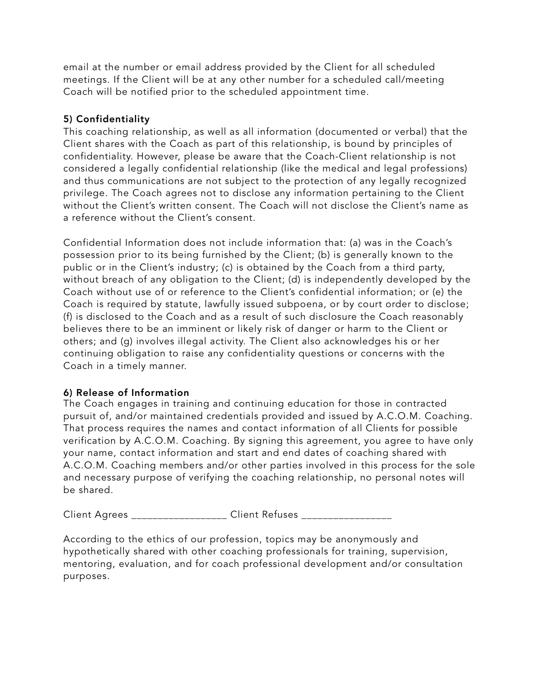email at the number or email address provided by the Client for all scheduled meetings. If the Client will be at any other number for a scheduled call/meeting Coach will be notified prior to the scheduled appointment time.

## 5) Confidentiality

This coaching relationship, as well as all information (documented or verbal) that the Client shares with the Coach as part of this relationship, is bound by principles of confidentiality. However, please be aware that the Coach-Client relationship is not considered a legally confidential relationship (like the medical and legal professions) and thus communications are not subject to the protection of any legally recognized privilege. The Coach agrees not to disclose any information pertaining to the Client without the Client's written consent. The Coach will not disclose the Client's name as a reference without the Client's consent.

Confidential Information does not include information that: (a) was in the Coach's possession prior to its being furnished by the Client; (b) is generally known to the public or in the Client's industry; (c) is obtained by the Coach from a third party, without breach of any obligation to the Client; (d) is independently developed by the Coach without use of or reference to the Client's confidential information; or (e) the Coach is required by statute, lawfully issued subpoena, or by court order to disclose; (f) is disclosed to the Coach and as a result of such disclosure the Coach reasonably believes there to be an imminent or likely risk of danger or harm to the Client or others; and (g) involves illegal activity. The Client also acknowledges his or her continuing obligation to raise any confidentiality questions or concerns with the Coach in a timely manner.

#### 6) Release of Information

The Coach engages in training and continuing education for those in contracted pursuit of, and/or maintained credentials provided and issued by A.C.O.M. Coaching. That process requires the names and contact information of all Clients for possible verification by A.C.O.M. Coaching. By signing this agreement, you agree to have only your name, contact information and start and end dates of coaching shared with A.C.O.M. Coaching members and/or other parties involved in this process for the sole and necessary purpose of verifying the coaching relationship, no personal notes will be shared.

Client Agrees **Executes** Client Refuses **Client** Agrees **Client** Refuses **Executes** 2

According to the ethics of our profession, topics may be anonymously and hypothetically shared with other coaching professionals for training, supervision, mentoring, evaluation, and for coach professional development and/or consultation purposes.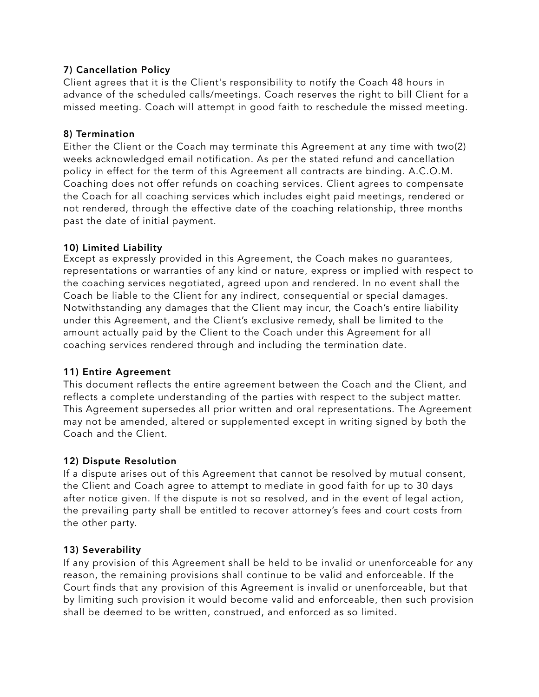## 7) Cancellation Policy

Client agrees that it is the Client's responsibility to notify the Coach 48 hours in advance of the scheduled calls/meetings. Coach reserves the right to bill Client for a missed meeting. Coach will attempt in good faith to reschedule the missed meeting.

#### 8) Termination

Either the Client or the Coach may terminate this Agreement at any time with two(2) weeks acknowledged email notification. As per the stated refund and cancellation policy in effect for the term of this Agreement all contracts are binding. A.C.O.M. Coaching does not offer refunds on coaching services. Client agrees to compensate the Coach for all coaching services which includes eight paid meetings, rendered or not rendered, through the effective date of the coaching relationship, three months past the date of initial payment.

#### 10) Limited Liability

Except as expressly provided in this Agreement, the Coach makes no guarantees, representations or warranties of any kind or nature, express or implied with respect to the coaching services negotiated, agreed upon and rendered. In no event shall the Coach be liable to the Client for any indirect, consequential or special damages. Notwithstanding any damages that the Client may incur, the Coach's entire liability under this Agreement, and the Client's exclusive remedy, shall be limited to the amount actually paid by the Client to the Coach under this Agreement for all coaching services rendered through and including the termination date.

# 11) Entire Agreement

This document reflects the entire agreement between the Coach and the Client, and reflects a complete understanding of the parties with respect to the subject matter. This Agreement supersedes all prior written and oral representations. The Agreement may not be amended, altered or supplemented except in writing signed by both the Coach and the Client.

# 12) Dispute Resolution

If a dispute arises out of this Agreement that cannot be resolved by mutual consent, the Client and Coach agree to attempt to mediate in good faith for up to 30 days after notice given. If the dispute is not so resolved, and in the event of legal action, the prevailing party shall be entitled to recover attorney's fees and court costs from the other party.

# 13) Severability

If any provision of this Agreement shall be held to be invalid or unenforceable for any reason, the remaining provisions shall continue to be valid and enforceable. If the Court finds that any provision of this Agreement is invalid or unenforceable, but that by limiting such provision it would become valid and enforceable, then such provision shall be deemed to be written, construed, and enforced as so limited.